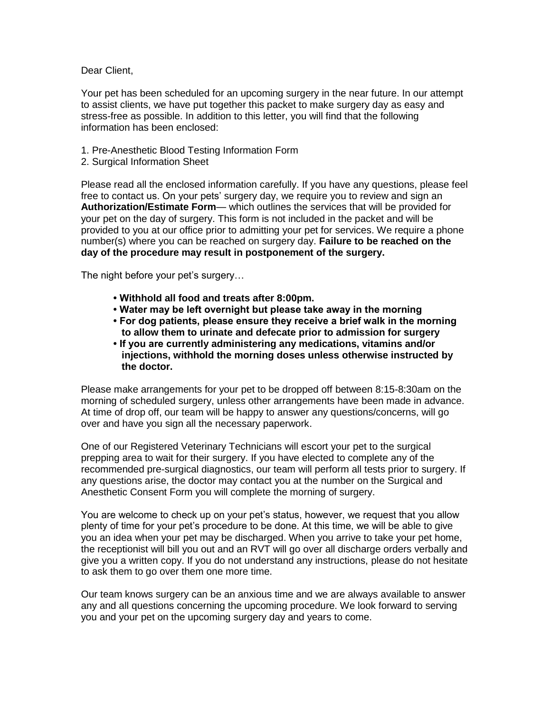Dear Client,

Your pet has been scheduled for an upcoming surgery in the near future. In our attempt to assist clients, we have put together this packet to make surgery day as easy and stress-free as possible. In addition to this letter, you will find that the following information has been enclosed:

- 1. Pre-Anesthetic Blood Testing Information Form
- 2. Surgical Information Sheet

Please read all the enclosed information carefully. If you have any questions, please feel free to contact us. On your pets' surgery day, we require you to review and sign an **Authorization/Estimate Form**— which outlines the services that will be provided for your pet on the day of surgery. This form is not included in the packet and will be provided to you at our office prior to admitting your pet for services. We require a phone number(s) where you can be reached on surgery day. **Failure to be reached on the day of the procedure may result in postponement of the surgery.**

The night before your pet's surgery…

- **Withhold all food and treats after 8:00pm.**
- **Water may be left overnight but please take away in the morning**
- **For dog patients, please ensure they receive a brief walk in the morning to allow them to urinate and defecate prior to admission for surgery**
- **If you are currently administering any medications, vitamins and/or injections, withhold the morning doses unless otherwise instructed by the doctor.**

Please make arrangements for your pet to be dropped off between 8:15-8:30am on the morning of scheduled surgery, unless other arrangements have been made in advance. At time of drop off, our team will be happy to answer any questions/concerns, will go over and have you sign all the necessary paperwork.

One of our Registered Veterinary Technicians will escort your pet to the surgical prepping area to wait for their surgery. If you have elected to complete any of the recommended pre-surgical diagnostics, our team will perform all tests prior to surgery. If any questions arise, the doctor may contact you at the number on the Surgical and Anesthetic Consent Form you will complete the morning of surgery.

You are welcome to check up on your pet's status, however, we request that you allow plenty of time for your pet's procedure to be done. At this time, we will be able to give you an idea when your pet may be discharged. When you arrive to take your pet home, the receptionist will bill you out and an RVT will go over all discharge orders verbally and give you a written copy. If you do not understand any instructions, please do not hesitate to ask them to go over them one more time.

Our team knows surgery can be an anxious time and we are always available to answer any and all questions concerning the upcoming procedure. We look forward to serving you and your pet on the upcoming surgery day and years to come.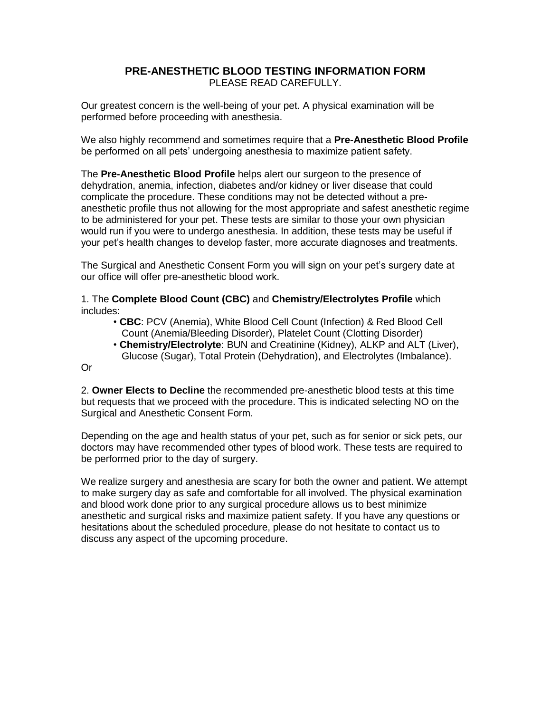# **PRE-ANESTHETIC BLOOD TESTING INFORMATION FORM** PLEASE READ CAREFULLY.

Our greatest concern is the well-being of your pet. A physical examination will be performed before proceeding with anesthesia.

We also highly recommend and sometimes require that a **Pre-Anesthetic Blood Profile** be performed on all pets' undergoing anesthesia to maximize patient safety.

The **Pre-Anesthetic Blood Profile** helps alert our surgeon to the presence of dehydration, anemia, infection, diabetes and/or kidney or liver disease that could complicate the procedure. These conditions may not be detected without a preanesthetic profile thus not allowing for the most appropriate and safest anesthetic regime to be administered for your pet. These tests are similar to those your own physician would run if you were to undergo anesthesia. In addition, these tests may be useful if your pet's health changes to develop faster, more accurate diagnoses and treatments.

The Surgical and Anesthetic Consent Form you will sign on your pet's surgery date at our office will offer pre-anesthetic blood work.

1. The **Complete Blood Count (CBC)** and **Chemistry/Electrolytes Profile** which includes:

- **CBC**: PCV (Anemia), White Blood Cell Count (Infection) & Red Blood Cell Count (Anemia/Bleeding Disorder), Platelet Count (Clotting Disorder)
- **Chemistry/Electrolyte**: BUN and Creatinine (Kidney), ALKP and ALT (Liver), Glucose (Sugar), Total Protein (Dehydration), and Electrolytes (Imbalance).

Or

2. **Owner Elects to Decline** the recommended pre-anesthetic blood tests at this time but requests that we proceed with the procedure. This is indicated selecting NO on the Surgical and Anesthetic Consent Form.

Depending on the age and health status of your pet, such as for senior or sick pets, our doctors may have recommended other types of blood work. These tests are required to be performed prior to the day of surgery.

We realize surgery and anesthesia are scary for both the owner and patient. We attempt to make surgery day as safe and comfortable for all involved. The physical examination and blood work done prior to any surgical procedure allows us to best minimize anesthetic and surgical risks and maximize patient safety. If you have any questions or hesitations about the scheduled procedure, please do not hesitate to contact us to discuss any aspect of the upcoming procedure.